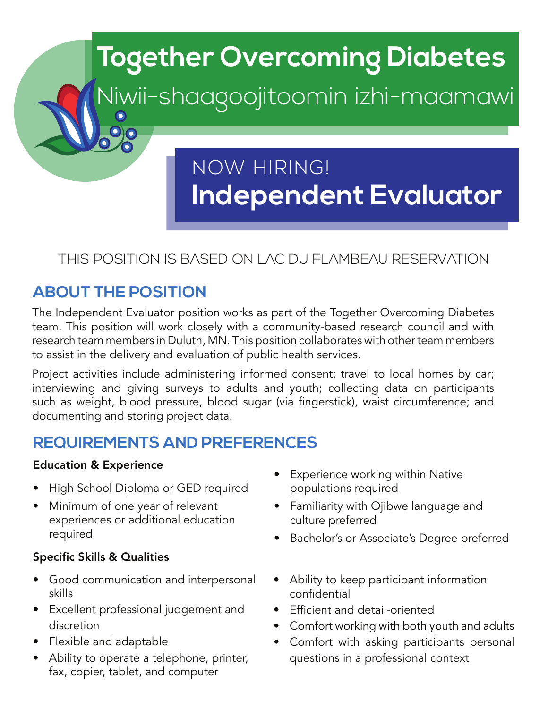

## THIS POSITION IS BASED ON LAC DU FLAMBEAU RESERVATION

## **ABOUT THE POSITION**

The Independent Evaluator position works as part of the Together Overcoming Diabetes team. This position will work closely with a community-based research council and with research team members in Duluth, MN. This position collaborates with other team members to assist in the delivery and evaluation of public health services.

Project activities include administering informed consent; travel to local homes by car; interviewing and giving surveys to adults and youth; collecting data on participants such as weight, blood pressure, blood sugar (via fingerstick), waist circumference; and documenting and storing project data.

## **REQUIREMENTS AND PREFERENCES**

#### Education & Experience

- High School Diploma or GED required
- Minimum of one year of relevant experiences or additional education required

#### Specific Skills & Qualities

- Good communication and interpersonal skills
- Excellent professional judgement and discretion
- Flexible and adaptable
- Ability to operate a telephone, printer, fax, copier, tablet, and computer
- Experience working within Native populations required
- Familiarity with Ojibwe language and culture preferred
- Bachelor's or Associate's Degree preferred
- Ability to keep participant information confidential
- Efficient and detail-oriented
- Comfort working with both youth and adults
- Comfort with asking participants personal questions in a professional context